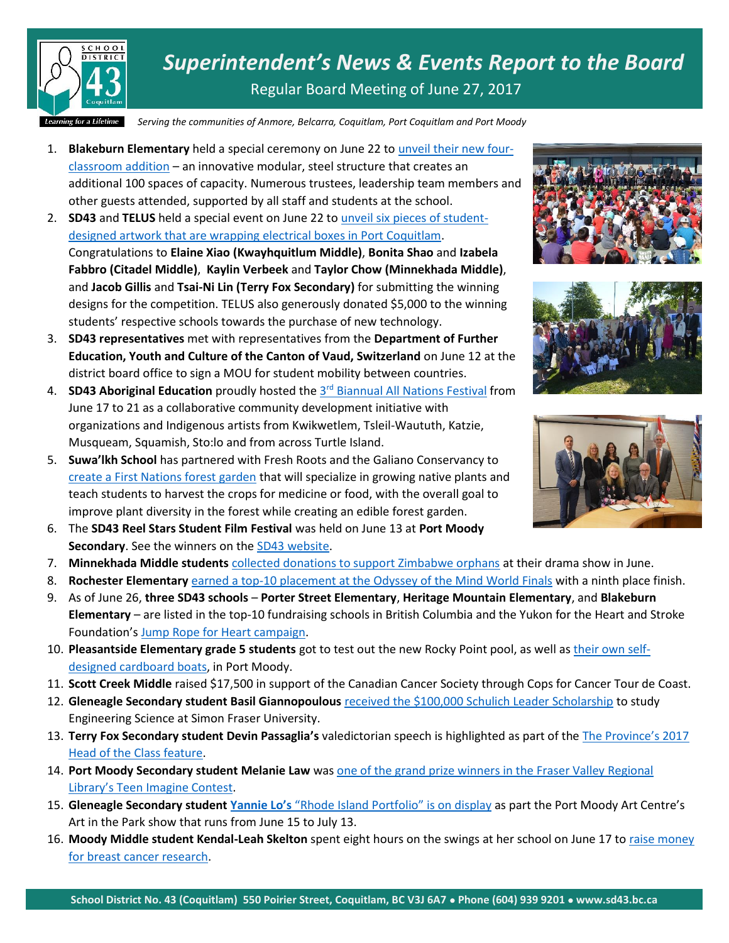

*Superintendent's News & Events Report to the Board* Regular Board Meeting of June 27, 2017

*Serving the communities of Anmore, Belcarra, Coquitlam, Port Coquitlam and Port Moody*

- 1. **Blakeburn Elementary** held a special ceremony on June 22 to [unveil their new four](https://www.sd43.bc.ca/Pages/newsitem.aspx?ItemID=131&ListID=c4134e88-bc0d-484f-9d4d-93c69db7f94f&TemplateID=Announcement_Item)[classroom addition](https://www.sd43.bc.ca/Pages/newsitem.aspx?ItemID=131&ListID=c4134e88-bc0d-484f-9d4d-93c69db7f94f&TemplateID=Announcement_Item) – an innovative modular, steel structure that creates an additional 100 spaces of capacity. Numerous trustees, leadership team members and other guests attended, supported by all staff and students at the school.
- 2. **SD43** and **TELUS** held a special event on June 22 to [unveil six pieces of student](https://www.sd43.bc.ca/Pages/newsitem.aspx?ItemID=130&ListID=c4134e88-bc0d-484f-9d4d-93c69db7f94f&TemplateID=Announcement_Item)[designed artwork that are wrapping](https://www.sd43.bc.ca/Pages/newsitem.aspx?ItemID=130&ListID=c4134e88-bc0d-484f-9d4d-93c69db7f94f&TemplateID=Announcement_Item) electrical boxes in Port Coquitlam. Congratulations to **Elaine Xiao (Kwayhquitlum Middle)**, **Bonita Shao** and **Izabela Fabbro (Citadel Middle)**, **Kaylin Verbeek** and **Taylor Chow (Minnekhada Middle)**, and **Jacob Gillis** and **Tsai-Ni Lin (Terry Fox Secondary)** for submitting the winning designs for the competition. TELUS also generously donated \$5,000 to the winning students' respective schools towards the purchase of new technology.
- 3. **SD43 representatives** met with representatives from the **Department of Further Education, Youth and Culture of the Canton of Vaud, Switzerland** on June 12 at the district board office to sign a MOU for student mobility between countries.
- 4. **SD43 Aboriginal Education** proudly hosted the 3<sup>rd</sup> [Biannual All Nations Festival](https://allnationsfest.com/2017/) from June 17 to 21 as a collaborative community development initiative with organizations and Indigenous artists from Kwikwetlem, Tsleil-Waututh, Katzie, Musqueam, Squamish, Sto:lo and from across Turtle Island.
- 5. **Suwa'lkh School** has partnered with Fresh Roots and the Galiano Conservancy to [create a First Nations forest garden](http://www.tricitynews.com/news/coquitlam-school-partnership-to-create-first-nations-forest-garden-1.20506827) that will specialize in growing native plants and teach students to harvest the crops for medicine or food, with the overall goal to improve plant diversity in the forest while creating an edible forest garden.
- 6. The **SD43 Reel Stars Student Film Festival** was held on June 13 at **Port Moody Secondary**. See the winners on the [SD43 website.](https://www.sd43.bc.ca/Pages/newsitem.aspx?ItemID=127&ListID=c4134e88-bc0d-484f-9d4d-93c69db7f94f&TemplateID=Announcement_Item)
- 7. **Minnekhada Middle students** [collected donations to support Zimbabwe orphans](http://www.tricitynews.com/entertainment/arts-notes-port-coquitlam-drama-students-raise-for-african-orphans-1.20435672) at their drama show in June.
- 8. **Rochester Elementary** [earned a top-10 placement at the Odyssey of the Mind World Finals](http://www.tricitynews.com/community/spotlight-coquitlam-school-takes-ninth-place-at-odyssey-worlds-1.20478143) with a ninth place finish.
- 9. As of June 26, **three SD43 schools Porter Street Elementary**, **Heritage Mountain Elementary**, and **Blakeburn Elementary** – are listed in the top-10 fundraising schools in British Columbia and the Yukon for the Heart and Stroke Foundation's [Jump Rope for Heart campaign.](http://support.heartandstroke.ca/site/PageServer?pagename=jump17_home)
- 10. **Pleasantside Elementary grade 5 students** got to test out the new Rocky Point pool, as well a[s their own self](http://www.tricitynews.com/community/students-get-that-sinking-feeling-at-rocky-point-pool-1.20723892)[designed cardboard boats,](http://www.tricitynews.com/community/students-get-that-sinking-feeling-at-rocky-point-pool-1.20723892) in Port Moody.
- 11. **Scott Creek Middle** raised \$17,500 in support of the Canadian Cancer Society through Cops for Cancer Tour de Coast.
- 12. **Gleneagle Secondary student Basil Giannopoulous** [received the \\$100,000 Schulich Leader Scholarship](http://www.sd43.bc.ca/Pages/newsitem.aspx?ItemID=129&ListID=c4134e88-bc0d-484f-9d4d-93c69db7f94f&TemplateID=Announcement_Item) to study Engineering Science at Simon Fraser University.
- 13. **Terry Fox Secondary student Devin Passaglia's** valedictorian speech is highlighted as part of the [The Province's 2017](http://theprovince.com/feature/head-of-the-class-2017-the-valedictorans)  [Head of the Class feature.](http://theprovince.com/feature/head-of-the-class-2017-the-valedictorans)
- 14. **Port Moody Secondary student Melanie Law** was [one of the grand prize winners in the Fraser Valley Regional](http://www.tricitynews.com/community/spotlight-coquitlam-school-takes-ninth-place-at-odyssey-worlds-1.20478143)  Library's Teen [Imagine Contest.](http://www.tricitynews.com/community/spotlight-coquitlam-school-takes-ninth-place-at-odyssey-worlds-1.20478143)
- 15. **Gleneagle Secondary student Yannie Lo's** ["Rhode Island Portfolio" is on display](http://www.tricitynews.com/entertainment/o-canada-patriotic-pride-on-show-at-port-moody-arts-centre-1.20554137) as part the Port Moody Art Centre's Art in the Park show that runs from June 15 to July 13.
- 16. **Moody Middle student Kendal-Leah Skelton** spent eight hours on the swings at her school on June 17 t[o raise money](http://www.tricitynews.com/community/port-moody-girl-gets-into-the-swing-for-breast-cancer-research-1.20629771)  [for breast cancer research.](http://www.tricitynews.com/community/port-moody-girl-gets-into-the-swing-for-breast-cancer-research-1.20629771)